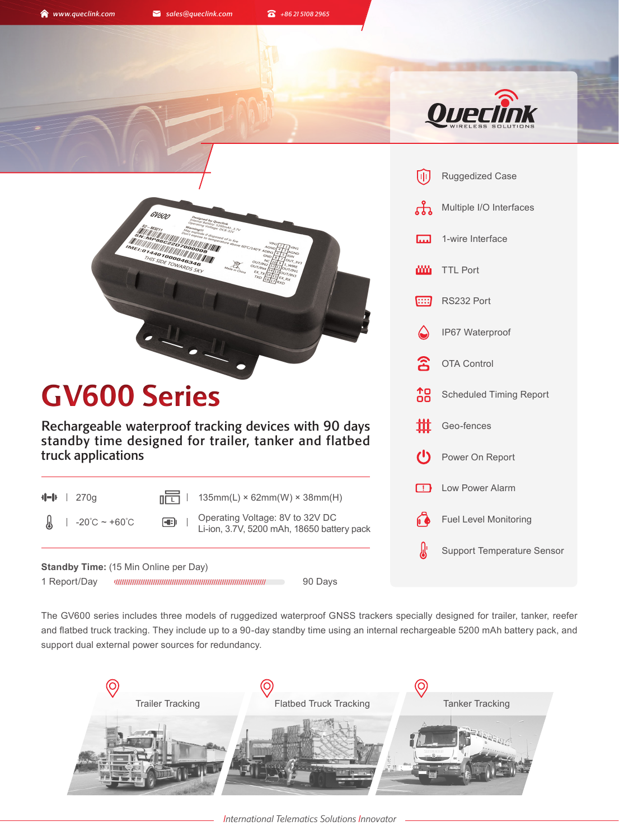GV600

**A** www.queclink.com **a** sales@queclink.com **a** +86 21 5108 2965



|                        | Ruggedized Case                   |  |  |
|------------------------|-----------------------------------|--|--|
|                        | Multiple I/O Interfaces           |  |  |
|                        | 1-wire Interface                  |  |  |
|                        | <b>III</b> TTL Port               |  |  |
|                        | <b>EEP</b> RS232 Port             |  |  |
|                        | Silent Waterproof                 |  |  |
| $\widehat{\mathbf{z}}$ | <b>OTA Control</b>                |  |  |
|                        | <b>10</b> Scheduled Timing Report |  |  |
|                        | <b>iff</b> Geo-fences             |  |  |
|                        | Power On Report                   |  |  |
| $\Box$                 | Low Power Alarm                   |  |  |
| 60                     | <b>Fuel Level Monitoring</b>      |  |  |
|                        | <b>Support Temperature Sensor</b> |  |  |
|                        |                                   |  |  |

**MINITED FOOD ON ASS SECTION ARDS SECTION ASSESSMENT GV600 Series** Rechargeable waterproof tracking devices with 90 days standby time designed for trailer, tanker and flatbed truck applications  $\P$  | 270g **Light** | 135mm(L) × 62mm(W) × 38mm(H)  $|-20^{\circ}\text{C} \sim +60^{\circ}\text{C}$   $\blacksquare$   $|$  Operating Voltage: 8V to 32V DC Li-ion, 3.7V, 5200 mAh, 18650 battery pack

1 Report/Day 90 Days **Standby Time:** (15 Min Online per Day)

The GV600 series includes three models of ruggedized waterproof GNSS trackers specially designed for trailer, tanker, reefer and flatbed truck tracking. They include up to a 90-day standby time using an internal rechargeable 5200 mAh battery pack, and support dual external power sources for redundancy.